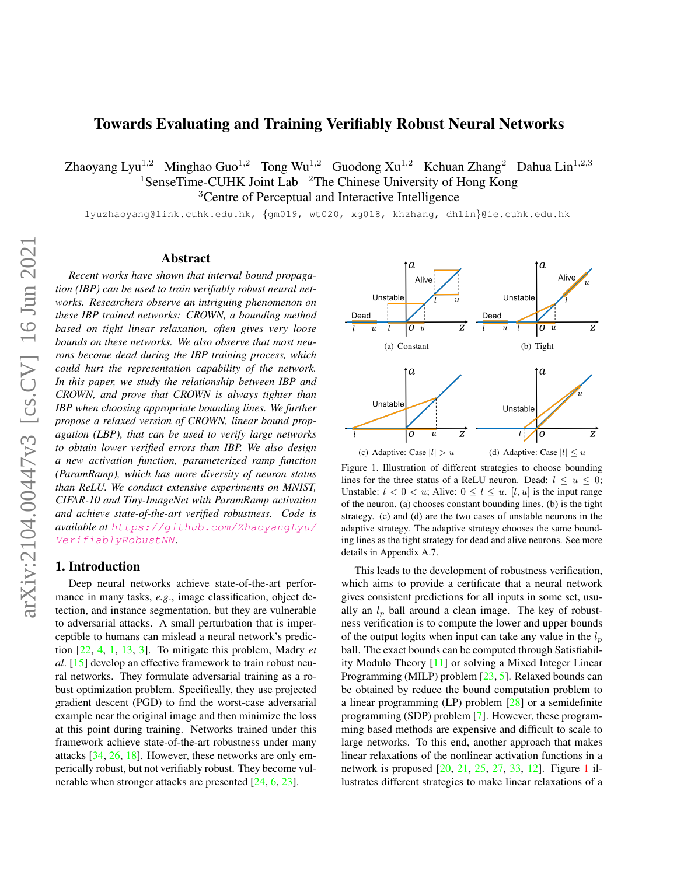# <span id="page-0-5"></span>Towards Evaluating and Training Verifiably Robust Neural Networks

Zhaoyang Lyu<sup>1,2</sup> Minghao Guo<sup>1,2</sup> Tong Wu<sup>1,2</sup> Guodong Xu<sup>1,2</sup> Kehuan Zhang<sup>2</sup> Dahua Lin<sup>1,2,3</sup> <sup>1</sup>SenseTime-CUHK Joint Lab  $2$ The Chinese University of Hong Kong <sup>3</sup>Centre of Perceptual and Interactive Intelligence

lyuzhaoyang@link.cuhk.edu.hk, {gm019, wt020, xg018, khzhang, dhlin}@ie.cuhk.edu.hk

#### Abstract

*Recent works have shown that interval bound propagation (IBP) can be used to train verifiably robust neural networks. Researchers observe an intriguing phenomenon on these IBP trained networks: CROWN, a bounding method based on tight linear relaxation, often gives very loose bounds on these networks. We also observe that most neurons become dead during the IBP training process, which could hurt the representation capability of the network. In this paper, we study the relationship between IBP and CROWN, and prove that CROWN is always tighter than IBP when choosing appropriate bounding lines. We further propose a relaxed version of CROWN, linear bound propagation (LBP), that can be used to verify large networks to obtain lower verified errors than IBP. We also design a new activation function, parameterized ramp function (ParamRamp), which has more diversity of neuron status than ReLU. We conduct extensive experiments on MNIST, CIFAR-10 and Tiny-ImageNet with ParamRamp activation and achieve state-of-the-art verified robustness. Code is available at* [https://github.com/ZhaoyangLyu/](https://github.com/ZhaoyangLyu/VerifiablyRobustNN) [VerifiablyRobustNN](https://github.com/ZhaoyangLyu/VerifiablyRobustNN)*.*

# 1. Introduction

Deep neural networks achieve state-of-the-art performance in many tasks, *e.g*., image classification, object detection, and instance segmentation, but they are vulnerable to adversarial attacks. A small perturbation that is imperceptible to humans can mislead a neural network's prediction [\[22,](#page-8-0) [4,](#page-8-1) [1,](#page-8-2) [13,](#page-8-3) [3\]](#page-8-4). To mitigate this problem, Madry *et al*. [\[15\]](#page-8-5) develop an effective framework to train robust neural networks. They formulate adversarial training as a robust optimization problem. Specifically, they use projected gradient descent (PGD) to find the worst-case adversarial example near the original image and then minimize the loss at this point during training. Networks trained under this framework achieve state-of-the-art robustness under many attacks [\[34,](#page-9-0) [26,](#page-8-6) [18\]](#page-8-7). However, these networks are only emperically robust, but not verifiably robust. They become vulnerable when stronger attacks are presented [\[24,](#page-8-8) [6,](#page-8-9) [23\]](#page-8-10).

<span id="page-0-2"></span><span id="page-0-1"></span>

<span id="page-0-4"></span><span id="page-0-3"></span><span id="page-0-0"></span>(c) Adaptive: Case  $|l| > u$  (d) Adaptive: Case  $|l| \le u$ 

Figure 1. Illustration of different strategies to choose bounding lines for the three status of a ReLU neuron. Dead:  $l \leq u \leq 0$ ; Unstable:  $l < 0 < u$ ; Alive:  $0 \le l \le u$ . [l, u] is the input range of the neuron. (a) chooses constant bounding lines. (b) is the tight strategy. (c) and (d) are the two cases of unstable neurons in the adaptive strategy. The adaptive strategy chooses the same bounding lines as the tight strategy for dead and alive neurons. See more details in Appendix A.7.

This leads to the development of robustness verification, which aims to provide a certificate that a neural network gives consistent predictions for all inputs in some set, usually an  $l_p$  ball around a clean image. The key of robustness verification is to compute the lower and upper bounds of the output logits when input can take any value in the  $l_p$ ball. The exact bounds can be computed through Satisfiability Modulo Theory [\[11\]](#page-8-11) or solving a Mixed Integer Linear Programming (MILP) problem [\[23,](#page-8-10) [5\]](#page-8-12). Relaxed bounds can be obtained by reduce the bound computation problem to a linear programming (LP) problem [\[28\]](#page-9-1) or a semidefinite programming (SDP) problem [\[7\]](#page-8-13). However, these programming based methods are expensive and difficult to scale to large networks. To this end, another approach that makes linear relaxations of the nonlinear activation functions in a network is proposed [\[20,](#page-8-14) [21,](#page-8-15) [25,](#page-8-16) [27,](#page-8-17) [33,](#page-9-2) [12\]](#page-8-18). Figure [1](#page-0-0) illustrates different strategies to make linear relaxations of a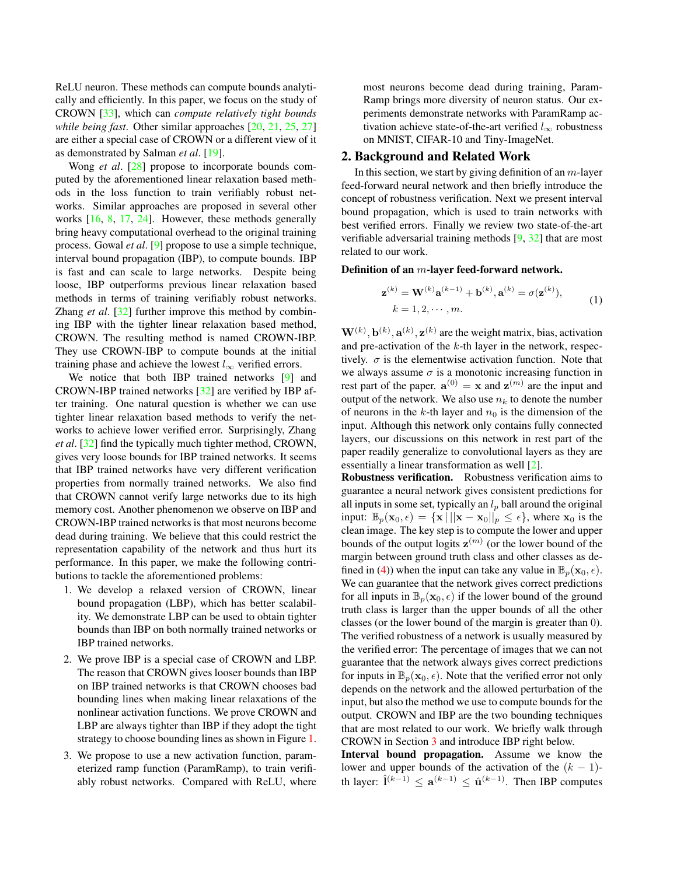<span id="page-1-0"></span>ReLU neuron. These methods can compute bounds analytically and efficiently. In this paper, we focus on the study of CROWN [\[33\]](#page-9-2), which can *compute relatively tight bounds while being fast.* Other similar approaches  $[20, 21, 25, 27]$  $[20, 21, 25, 27]$  $[20, 21, 25, 27]$  $[20, 21, 25, 27]$  $[20, 21, 25, 27]$  $[20, 21, 25, 27]$  $[20, 21, 25, 27]$ are either a special case of CROWN or a different view of it as demonstrated by Salman *et al*. [\[19\]](#page-8-19).

Wong *et al*. [\[28\]](#page-9-1) propose to incorporate bounds computed by the aforementioned linear relaxation based methods in the loss function to train verifiably robust networks. Similar approaches are proposed in several other works [\[16,](#page-8-20) [8,](#page-8-21) [17,](#page-8-22) [24\]](#page-8-8). However, these methods generally bring heavy computational overhead to the original training process. Gowal *et al*. [\[9\]](#page-8-23) propose to use a simple technique, interval bound propagation (IBP), to compute bounds. IBP is fast and can scale to large networks. Despite being loose, IBP outperforms previous linear relaxation based methods in terms of training verifiably robust networks. Zhang *et al*. [\[32\]](#page-9-3) further improve this method by combining IBP with the tighter linear relaxation based method, CROWN. The resulting method is named CROWN-IBP. They use CROWN-IBP to compute bounds at the initial training phase and achieve the lowest  $l_{\infty}$  verified errors.

We notice that both IBP trained networks [\[9\]](#page-8-23) and CROWN-IBP trained networks [\[32\]](#page-9-3) are verified by IBP after training. One natural question is whether we can use tighter linear relaxation based methods to verify the networks to achieve lower verified error. Surprisingly, Zhang *et al*. [\[32\]](#page-9-3) find the typically much tighter method, CROWN, gives very loose bounds for IBP trained networks. It seems that IBP trained networks have very different verification properties from normally trained networks. We also find that CROWN cannot verify large networks due to its high memory cost. Another phenomenon we observe on IBP and CROWN-IBP trained networks is that most neurons become dead during training. We believe that this could restrict the representation capability of the network and thus hurt its performance. In this paper, we make the following contributions to tackle the aforementioned problems:

- 1. We develop a relaxed version of CROWN, linear bound propagation (LBP), which has better scalability. We demonstrate LBP can be used to obtain tighter bounds than IBP on both normally trained networks or IBP trained networks.
- 2. We prove IBP is a special case of CROWN and LBP. The reason that CROWN gives looser bounds than IBP on IBP trained networks is that CROWN chooses bad bounding lines when making linear relaxations of the nonlinear activation functions. We prove CROWN and LBP are always tighter than IBP if they adopt the tight strategy to choose bounding lines as shown in Figure [1.](#page-0-0)
- 3. We propose to use a new activation function, parameterized ramp function (ParamRamp), to train verifiably robust networks. Compared with ReLU, where

most neurons become dead during training, Param-Ramp brings more diversity of neuron status. Our experiments demonstrate networks with ParamRamp activation achieve state-of-the-art verified  $l_{\infty}$  robustness on MNIST, CIFAR-10 and Tiny-ImageNet.

## 2. Background and Related Work

In this section, we start by giving definition of an  $m$ -layer feed-forward neural network and then briefly introduce the concept of robustness verification. Next we present interval bound propagation, which is used to train networks with best verified errors. Finally we review two state-of-the-art verifiable adversarial training methods [\[9,](#page-8-23) [32\]](#page-9-3) that are most related to our work.

#### Definition of an m-layer feed-forward network.

$$
\mathbf{z}^{(k)} = \mathbf{W}^{(k)} \mathbf{a}^{(k-1)} + \mathbf{b}^{(k)}, \mathbf{a}^{(k)} = \sigma(\mathbf{z}^{(k)}),
$$
  
\n
$$
k = 1, 2, \cdots, m.
$$
 (1)

 $W^{(k)}, b^{(k)}, a^{(k)}, z^{(k)}$  are the weight matrix, bias, activation and pre-activation of the  $k$ -th layer in the network, respectively.  $\sigma$  is the elementwise activation function. Note that we always assume  $\sigma$  is a monotonic increasing function in rest part of the paper.  $\mathbf{a}^{(0)} = \mathbf{x}$  and  $\mathbf{z}^{(m)}$  are the input and output of the network. We also use  $n_k$  to denote the number of neurons in the k-th layer and  $n_0$  is the dimension of the input. Although this network only contains fully connected layers, our discussions on this network in rest part of the paper readily generalize to convolutional layers as they are essentially a linear transformation as well [\[2\]](#page-8-24).

Robustness verification. Robustness verification aims to guarantee a neural network gives consistent predictions for all inputs in some set, typically an  $l_p$  ball around the original input:  $\mathbb{B}_p(\mathbf{x}_0, \epsilon) = {\mathbf{x} || ||\mathbf{x} - \mathbf{x}_0||_p \leq \epsilon},$  where  $\mathbf{x}_0$  is the clean image. The key step is to compute the lower and upper bounds of the output logits  $z^{(m)}$  (or the lower bound of the margin between ground truth class and other classes as de-fined in [\(4\)](#page-2-0)) when the input can take any value in  $\mathbb{B}_p(\mathbf{x}_0, \epsilon)$ . We can guarantee that the network gives correct predictions for all inputs in  $\mathbb{B}_p(\mathbf{x}_0, \epsilon)$  if the lower bound of the ground truth class is larger than the upper bounds of all the other classes (or the lower bound of the margin is greater than 0). The verified robustness of a network is usually measured by the verified error: The percentage of images that we can not guarantee that the network always gives correct predictions for inputs in  $\mathbb{B}_n(\mathbf{x}_0, \epsilon)$ . Note that the verified error not only depends on the network and the allowed perturbation of the input, but also the method we use to compute bounds for the output. CROWN and IBP are the two bounding techniques that are most related to our work. We briefly walk through CROWN in Section [3](#page-2-1) and introduce IBP right below.

Interval bound propagation. Assume we know the lower and upper bounds of the activation of the  $(k - 1)$ th layer:  $\hat{\mathbf{l}}^{(k-1)} \leq \mathbf{a}^{(k-1)} \leq \hat{\mathbf{u}}^{(k-1)}$ . Then IBP computes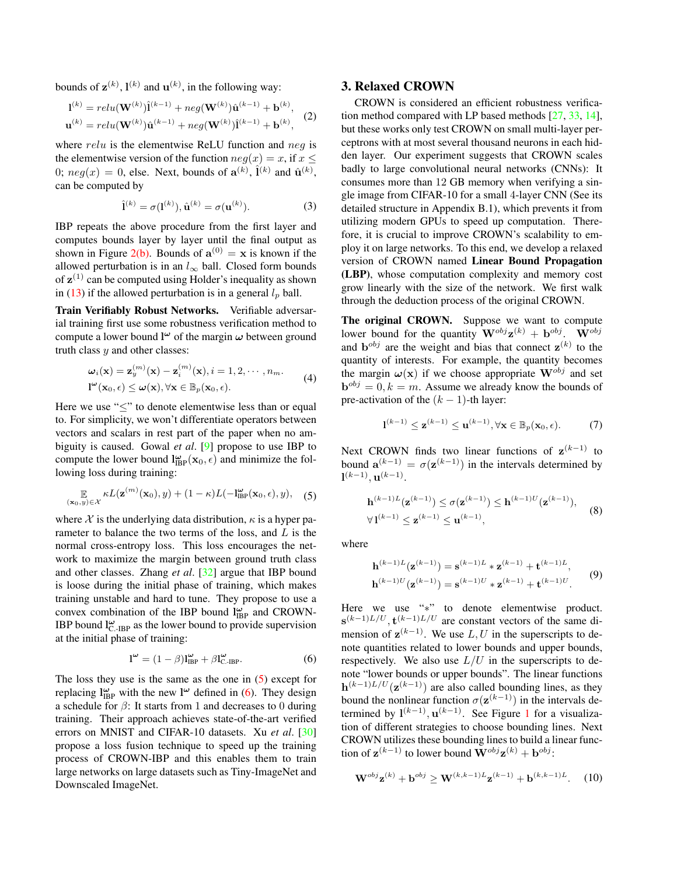<span id="page-2-5"></span>bounds of  $\mathbf{z}^{(k)}$ ,  $\mathbf{l}^{(k)}$  and  $\mathbf{u}^{(k)}$ , in the following way:

$$
1^{(k)} = relu(\mathbf{W}^{(k)})\hat{1}^{(k-1)} + neg(\mathbf{W}^{(k)})\hat{\mathbf{u}}^{(k-1)} + \mathbf{b}^{(k)},
$$
  

$$
\mathbf{u}^{(k)} = relu(\mathbf{W}^{(k)})\hat{\mathbf{u}}^{(k-1)} + neg(\mathbf{W}^{(k)})\hat{1}^{(k-1)} + \mathbf{b}^{(k)},
$$
 (2)

where  $relu$  is the elementwise ReLU function and  $neg$  is the elementwise version of the function  $neg(x) = x$ , if  $x \le$ 0;  $neg(x) = 0$ , else. Next, bounds of  $\mathbf{a}^{(k)}$ ,  $\hat{\mathbf{l}}^{(k)}$  and  $\hat{\mathbf{u}}^{(k)}$ , can be computed by

$$
\hat{\mathbf{l}}^{(k)} = \sigma(\mathbf{l}^{(k)}), \hat{\mathbf{u}}^{(k)} = \sigma(\mathbf{u}^{(k)}).
$$
 (3)

IBP repeats the above procedure from the first layer and computes bounds layer by layer until the final output as shown in Figure [2\(b\).](#page-3-0) Bounds of  $\mathbf{a}^{(0)} = \mathbf{x}$  is known if the allowed perturbation is in an  $l_{\infty}$  ball. Closed form bounds of  $z^{(1)}$  can be computed using Holder's inequality as shown in [\(13\)](#page-3-1) if the allowed perturbation is in a general  $l_p$  ball.

Train Verifiably Robust Networks. Verifiable adversarial training first use some robustness verification method to compute a lower bound  $l^{\omega}$  of the margin  $\omega$  between ground truth class  $y$  and other classes:

$$
\boldsymbol{\omega}_i(\mathbf{x}) = \mathbf{z}_y^{(m)}(\mathbf{x}) - \mathbf{z}_i^{(m)}(\mathbf{x}), i = 1, 2, \cdots, n_m.
$$
  

$$
\mathbf{l}^{\omega}(\mathbf{x}_0, \epsilon) \leq \boldsymbol{\omega}(\mathbf{x}), \forall \mathbf{x} \in \mathbb{B}_p(\mathbf{x}_0, \epsilon).
$$
 (4)

Here we use "≤" to denote elementwise less than or equal to. For simplicity, we won't differentiate operators between vectors and scalars in rest part of the paper when no ambiguity is caused. Gowal *et al*. [\[9\]](#page-8-23) propose to use IBP to compute the lower bound  $\mathbf{l}_{\text{IBP}}^{\omega}(\mathbf{x}_0, \epsilon)$  and minimize the following loss during training:

$$
\mathbb{E}_{(\mathbf{x}_0,y)\in\mathcal{X}}\kappa L(\mathbf{z}^{(m)}(\mathbf{x}_0),y) + (1-\kappa)L(-\mathbf{l}_{\text{IBP}}^{\omega}(\mathbf{x}_0,\epsilon),y), \quad (5)
$$

where X is the underlying data distribution,  $\kappa$  is a hyper parameter to balance the two terms of the loss, and  $L$  is the normal cross-entropy loss. This loss encourages the network to maximize the margin between ground truth class and other classes. Zhang *et al*. [\[32\]](#page-9-3) argue that IBP bound is loose during the initial phase of training, which makes training unstable and hard to tune. They propose to use a convex combination of the IBP bound  $l_{IBP}^{\omega}$  and CROWN-IBP bound  $\mathbf{l}_{\mathrm{C-RBP}}^{\omega}$  as the lower bound to provide supervision at the initial phase of training:

$$
\mathbf{l}^{\omega} = (1 - \beta)\mathbf{l}_{\text{IBP}}^{\omega} + \beta \mathbf{l}_{\text{C-IBP}}^{\omega}.
$$
 (6)

The loss they use is the same as the one in [\(5\)](#page-2-2) except for replacing  $\mathbf{l}_{\text{IBP}}^{\omega}$  with the new  $\mathbf{l}^{\omega}$  defined in [\(6\)](#page-2-3). They design a schedule for  $\beta$ : It starts from 1 and decreases to 0 during training. Their approach achieves state-of-the-art verified errors on MNIST and CIFAR-10 datasets. Xu *et al*. [\[30\]](#page-9-4) propose a loss fusion technique to speed up the training process of CROWN-IBP and this enables them to train large networks on large datasets such as Tiny-ImageNet and Downscaled ImageNet.

# <span id="page-2-1"></span>3. Relaxed CROWN

CROWN is considered an efficient robustness verification method compared with LP based methods [\[27,](#page-8-17) [33,](#page-9-2) [14\]](#page-8-25), but these works only test CROWN on small multi-layer perceptrons with at most several thousand neurons in each hidden layer. Our experiment suggests that CROWN scales badly to large convolutional neural networks (CNNs): It consumes more than 12 GB memory when verifying a single image from CIFAR-10 for a small 4-layer CNN (See its detailed structure in Appendix B.1), which prevents it from utilizing modern GPUs to speed up computation. Therefore, it is crucial to improve CROWN's scalability to employ it on large networks. To this end, we develop a relaxed version of CROWN named Linear Bound Propagation (LBP), whose computation complexity and memory cost grow linearly with the size of the network. We first walk through the deduction process of the original CROWN.

<span id="page-2-0"></span>The original CROWN. Suppose we want to compute lower bound for the quantity  $\mathbf{W}^{obj} \mathbf{z}^{(k)} + \mathbf{b}^{obj}$ .  $\mathbf{W}^{obj}$ and  $\mathbf{b}^{obj}$  are the weight and bias that connect  $\mathbf{z}^{(k)}$  to the quantity of interests. For example, the quantity becomes the margin  $\omega(\mathbf{x})$  if we choose appropriate  $\mathbf{W}^{obj}$  and set  $\mathbf{b}^{obj} = 0, k = m$ . Assume we already know the bounds of pre-activation of the  $(k - 1)$ -th layer:

$$
\mathbf{l}^{(k-1)} \leq \mathbf{z}^{(k-1)} \leq \mathbf{u}^{(k-1)}, \forall \mathbf{x} \in \mathbb{B}_p(\mathbf{x}_0, \epsilon).
$$
 (7)

<span id="page-2-2"></span>Next CROWN finds two linear functions of  $z^{(k-1)}$  to bound  $\mathbf{a}^{(k-1)} = \sigma(\mathbf{z}^{(k-1)})$  in the intervals determined by  $\mathbf{l}^{(k-1)}, \mathbf{u}^{(k-1)}.$ 

$$
\mathbf{h}^{(k-1)L}(\mathbf{z}^{(k-1)}) \le \sigma(\mathbf{z}^{(k-1)}) \le \mathbf{h}^{(k-1)U}(\mathbf{z}^{(k-1)}),
$$
  
\n
$$
\forall \mathbf{1}^{(k-1)} \le \mathbf{z}^{(k-1)} \le \mathbf{u}^{(k-1)},
$$
\n(8)

where

<span id="page-2-4"></span>
$$
\mathbf{h}^{(k-1)L}(\mathbf{z}^{(k-1)}) = \mathbf{s}^{(k-1)L} * \mathbf{z}^{(k-1)} + \mathbf{t}^{(k-1)L},
$$
  
\n
$$
\mathbf{h}^{(k-1)U}(\mathbf{z}^{(k-1)}) = \mathbf{s}^{(k-1)U} * \mathbf{z}^{(k-1)} + \mathbf{t}^{(k-1)U}.
$$
 (9)

<span id="page-2-3"></span>Here we use "∗" to denote elementwise product.  $\mathbf{s}^{(k-1)L/U}, \mathbf{t}^{(k-1)L/U}$  are constant vectors of the same dimension of  $z^{(k-1)}$ . We use L, U in the superscripts to denote quantities related to lower bounds and upper bounds, respectively. We also use  $L/U$  in the superscripts to denote "lower bounds or upper bounds". The linear functions  $h^{(k-1)L/U}(\mathbf{z}^{(k-1)})$  are also called bounding lines, as they bound the nonlinear function  $\sigma(\mathbf{z}^{(k-1)})$  in the intervals determined by  $l^{(k-1)}$  $l^{(k-1)}$  $l^{(k-1)}$ ,  $u^{(k-1)}$ . See Figure 1 for a visualization of different strategies to choose bounding lines. Next CROWN utilizes these bounding lines to build a linear function of  $\mathbf{z}^{(k-1)}$  to lower bound  $\mathbf{W}^{obj} \mathbf{z}^{(k)} + \mathbf{b}^{obj}$ :

$$
\mathbf{W}^{obj} \mathbf{z}^{(k)} + \mathbf{b}^{obj} \geq \mathbf{W}^{(k,k-1)L} \mathbf{z}^{(k-1)} + \mathbf{b}^{(k,k-1)L}.
$$
 (10)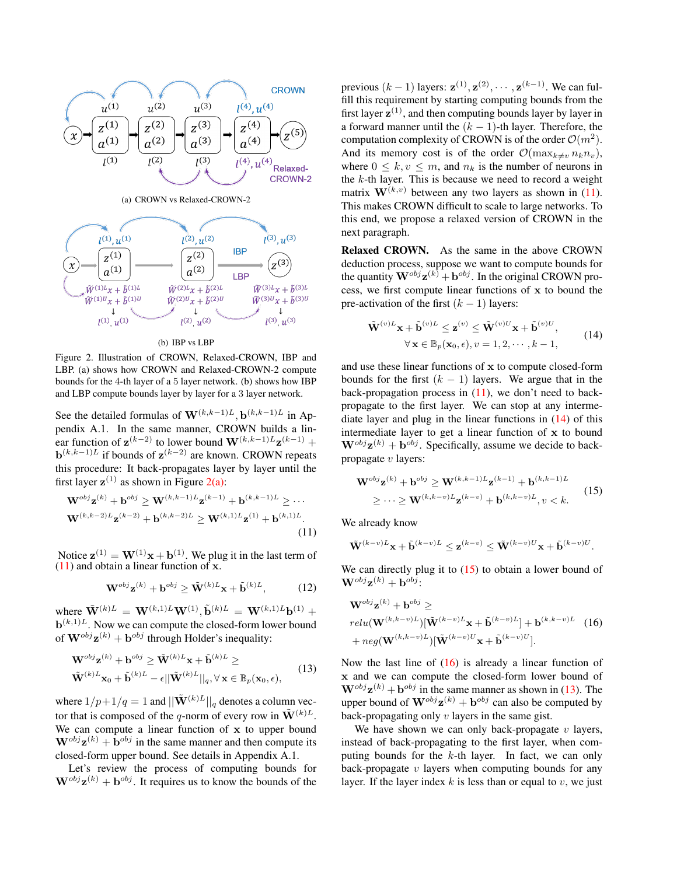<span id="page-3-2"></span><span id="page-3-0"></span>

(b) IBP vs LBP

Figure 2. Illustration of CROWN, Relaxed-CROWN, IBP and LBP. (a) shows how CROWN and Relaxed-CROWN-2 compute bounds for the 4-th layer of a 5 layer network. (b) shows how IBP and LBP compute bounds layer by layer for a 3 layer network.

See the detailed formulas of  $\mathbf{W}^{(k,k-1)L}$ ,  $\mathbf{b}^{(k,k-1)L}$  in Appendix A.1. In the same manner, CROWN builds a linear function of  $\mathbf{z}^{(k-2)}$  to lower bound  $\mathbf{W}^{(k,k-1)L}\mathbf{z}^{(k-1)}$  +  $\mathbf{b}^{(k,k-1)L}$  if bounds of  $\mathbf{z}^{(k-2)}$  are known. CROWN repeats this procedure: It back-propagates layer by layer until the first layer  $z^{(1)}$  as shown in Figure [2\(a\):](#page-3-2)

$$
\mathbf{W}^{obj} \mathbf{z}^{(k)} + \mathbf{b}^{obj} \ge \mathbf{W}^{(k,k-1)L} \mathbf{z}^{(k-1)} + \mathbf{b}^{(k,k-1)L} \ge \cdots
$$
  

$$
\mathbf{W}^{(k,k-2)L} \mathbf{z}^{(k-2)} + \mathbf{b}^{(k,k-2)L} \ge \mathbf{W}^{(k,1)L} \mathbf{z}^{(1)} + \mathbf{b}^{(k,1)L}.
$$
(11)

Notice  $\mathbf{z}^{(1)} = \mathbf{W}^{(1)}\mathbf{x} + \mathbf{b}^{(1)}$ . We plug it in the last term of  $(11)$  and obtain a linear function of x.

$$
\mathbf{W}^{obj} \mathbf{z}^{(k)} + \mathbf{b}^{obj} \ge \tilde{\mathbf{W}}^{(k)L} \mathbf{x} + \tilde{\mathbf{b}}^{(k)L},
$$
 (12)

where  $\tilde{\mathbf{W}}^{(k)L} = \mathbf{W}^{(k,1)L} \mathbf{W}^{(1)}, \tilde{\mathbf{b}}^{(k)L} = \mathbf{W}^{(k,1)L} \mathbf{b}^{(1)} + \cdots$  $\mathbf{b}^{(k,1)L}$ . Now we can compute the closed-form lower bound of  $\mathbf{W}^{obj} \mathbf{z}^{(k)} + \mathbf{b}^{obj}$  through Holder's inequality:

$$
\mathbf{W}^{obj} \mathbf{z}^{(k)} + \mathbf{b}^{obj} \geq \tilde{\mathbf{W}}^{(k)L} \mathbf{x} + \tilde{\mathbf{b}}^{(k)L} \geq
$$
\n
$$
\tilde{\mathbf{W}}^{(k)L} \mathbf{x}_0 + \tilde{\mathbf{b}}^{(k)L} - \epsilon ||\tilde{\mathbf{W}}^{(k)L}||_q, \forall \mathbf{x} \in \mathbb{B}_p(\mathbf{x}_0, \epsilon),
$$
\n(13)

where  $1/p+1/q = 1$  and  $||\tilde{\mathbf{W}}^{(k)L}||_q$  denotes a column vector that is composed of the q-norm of every row in  $\tilde{\mathbf{W}}^{(k)L}$ . We can compute a linear function of  $x$  to upper bound  $\mathbf{W}^{obj} \mathbf{z}^{(k)} + \mathbf{b}^{obj}$  in the same manner and then compute its closed-form upper bound. See details in Appendix A.1.

Let's review the process of computing bounds for  $\mathbf{W}^{obj} \mathbf{z}^{(k)} + \mathbf{b}^{obj}$ . It requires us to know the bounds of the

previous  $(k-1)$  layers:  $\mathbf{z}^{(1)}, \mathbf{z}^{(2)}, \cdots, \mathbf{z}^{(k-1)}$ . We can fulfill this requirement by starting computing bounds from the first layer  $z^{(1)}$ , and then computing bounds layer by layer in a forward manner until the  $(k - 1)$ -th layer. Therefore, the computation complexity of CROWN is of the order  $\mathcal{O}(m^2)$ . And its memory cost is of the order  $\mathcal{O}(\max_{k\neq v} n_k n_v)$ , where  $0 \leq k, v \leq m$ , and  $n_k$  is the number of neurons in the  $k$ -th layer. This is because we need to record a weight matrix  $\mathbf{W}^{(k,v)}$  between any two layers as shown in [\(11\)](#page-3-3). This makes CROWN difficult to scale to large networks. To this end, we propose a relaxed version of CROWN in the next paragraph.

Relaxed CROWN. As the same in the above CROWN deduction process, suppose we want to compute bounds for the quantity  $\mathbf{W}^{obj} \mathbf{z}^{(k)} + \mathbf{b}^{obj}$ . In the original CROWN process, we first compute linear functions of x to bound the pre-activation of the first  $(k - 1)$  layers:

<span id="page-3-4"></span>
$$
\tilde{\mathbf{W}}^{(v)L}\mathbf{x} + \tilde{\mathbf{b}}^{(v)L} \leq \mathbf{z}^{(v)} \leq \tilde{\mathbf{W}}^{(v)U}\mathbf{x} + \tilde{\mathbf{b}}^{(v)U},
$$
\n
$$
\forall \mathbf{x} \in \mathbb{B}_p(\mathbf{x}_0, \epsilon), v = 1, 2, \cdots, k - 1,
$$
\n(14)

and use these linear functions of x to compute closed-form bounds for the first  $(k - 1)$  layers. We argue that in the back-propagation process in  $(11)$ , we don't need to backpropagate to the first layer. We can stop at any intermediate layer and plug in the linear functions in [\(14\)](#page-3-4) of this intermediate layer to get a linear function of x to bound  $\mathbf{W}^{obj} \mathbf{z}^{(k)} + \mathbf{b}^{obj}$ . Specifically, assume we decide to backpropagate  $v$  layers:

<span id="page-3-5"></span>
$$
\mathbf{W}^{obj} \mathbf{z}^{(k)} + \mathbf{b}^{obj} \ge \mathbf{W}^{(k,k-1)L} \mathbf{z}^{(k-1)} + \mathbf{b}^{(k,k-1)L}
$$
  
 
$$
\ge \cdots \ge \mathbf{W}^{(k,k-v)L} \mathbf{z}^{(k-v)} + \mathbf{b}^{(k,k-v)L}, v < k. \tag{15}
$$

<span id="page-3-3"></span>We already know

$$
\tilde{\mathbf{W}}^{(k-v)L}\mathbf{x}+\tilde{\mathbf{b}}^{(k-v)L}\leq \mathbf{z}^{(k-v)}\leq \tilde{\mathbf{W}}^{(k-v)U}\mathbf{x}+\tilde{\mathbf{b}}^{(k-v)U}.
$$

We can directly plug it to  $(15)$  to obtain a lower bound of  $\mathbf{W}^{obj}\mathbf{z}^{(k)}+\mathbf{b}^{obj}$ :

<span id="page-3-6"></span>
$$
\mathbf{W}^{obj} \mathbf{z}^{(k)} + \mathbf{b}^{obj} \ge
$$
  
\n
$$
relu(\mathbf{W}^{(k,k-v)L})[\tilde{\mathbf{W}}^{(k-v)L}\mathbf{x} + \tilde{\mathbf{b}}^{(k-v)L}] + \mathbf{b}^{(k,k-v)L} \quad (16)
$$
  
\n
$$
+ neg(\mathbf{W}^{(k,k-v)L})[\tilde{\mathbf{W}}^{(k-v)U}\mathbf{x} + \tilde{\mathbf{b}}^{(k-v)U}].
$$

<span id="page-3-1"></span>Now the last line of  $(16)$  is already a linear function of x and we can compute the closed-form lower bound of  $\mathbf{W}^{obj} \mathbf{z}^{(k)} + \mathbf{b}^{obj}$  in the same manner as shown in [\(13\)](#page-3-1). The upper bound of  $\mathbf{W}^{obj} \mathbf{z}^{(k)} + \mathbf{b}^{obj}$  can also be computed by back-propagating only  $v$  layers in the same gist.

We have shown we can only back-propagate  $v$  layers, instead of back-propagating to the first layer, when computing bounds for the  $k$ -th layer. In fact, we can only back-propagate  $v$  layers when computing bounds for any layer. If the layer index  $k$  is less than or equal to  $v$ , we just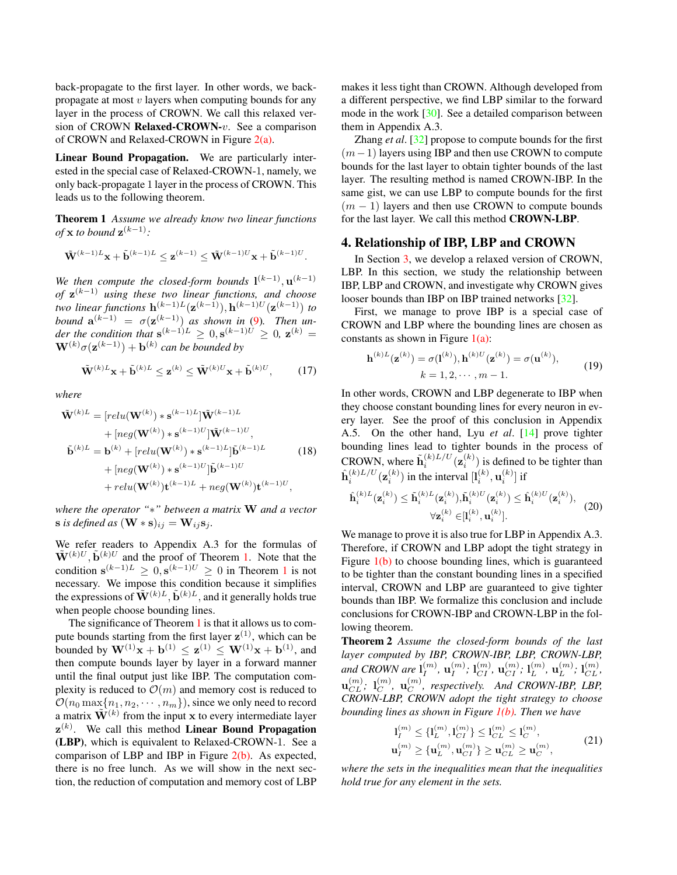<span id="page-4-3"></span>back-propagate to the first layer. In other words, we backpropagate at most  $v$  layers when computing bounds for any layer in the process of CROWN. We call this relaxed version of CROWN Relaxed-CROWN-v. See a comparison of CROWN and Relaxed-CROWN in Figure [2\(a\).](#page-3-2)

Linear Bound Propagation. We are particularly interested in the special case of Relaxed-CROWN-1, namely, we only back-propagate 1 layer in the process of CROWN. This leads us to the following theorem.

Theorem 1 *Assume we already know two linear functions*  $of$  **x** *to bound*  $z^{(k-1)}$ :

$$
\tilde{\mathbf{W}}^{(k-1)L}\mathbf{x}+\tilde{\mathbf{b}}^{(k-1)L}\leq \mathbf{z}^{(k-1)}\leq \tilde{\mathbf{W}}^{(k-1)U}\mathbf{x}+\tilde{\mathbf{b}}^{(k-1)U}
$$

<span id="page-4-0"></span>.

We then compute the closed-form bounds  $1^{(k-1)}$ ,  $\mathbf{u}^{(k-1)}$ *of* z (k−1) *using these two linear functions, and choose two linear functions*  $h^{(k-1)L}(\mathbf{z}^{(k-1)}), h^{(k-1)U}(\mathbf{z}^{(k-1)})$  *to bound*  $\mathbf{a}^{(k-1)} = \sigma(\mathbf{z}^{(k-1)})$  *as shown in* [\(9\)](#page-2-4)*. Then under the condition that*  $\mathbf{s}^{(k-1)L} \geq 0, \mathbf{s}^{(k-1)U} \geq 0$ ,  $\mathbf{z}^{(k)} =$  $\mathbf{W}^{(k)}\sigma(\mathbf{z}^{(k-1)}) + \mathbf{b}^{(k)}$  can be bounded by

$$
\tilde{\mathbf{W}}^{(k)L}\mathbf{x} + \tilde{\mathbf{b}}^{(k)L} \leq \mathbf{z}^{(k)} \leq \tilde{\mathbf{W}}^{(k)U}\mathbf{x} + \tilde{\mathbf{b}}^{(k)U},
$$
 (17)

*where*

$$
\tilde{\mathbf{W}}^{(k)L} = [relu(\mathbf{W}^{(k)}) * \mathbf{s}^{(k-1)L}] \tilde{\mathbf{W}}^{(k-1)L} \n+ [neg(\mathbf{W}^{(k)}) * \mathbf{s}^{(k-1)U}] \tilde{\mathbf{W}}^{(k-1)U}, \n\tilde{\mathbf{b}}^{(k)L} = \mathbf{b}^{(k)} + [relu(\mathbf{W}^{(k)}) * \mathbf{s}^{(k-1)L}] \tilde{\mathbf{b}}^{(k-1)L} \n+ [neg(\mathbf{W}^{(k)}) * \mathbf{s}^{(k-1)U}] \tilde{\mathbf{b}}^{(k-1)U} \n+ relu(\mathbf{W}^{(k)}) \mathbf{t}^{(k-1)L} + neg(\mathbf{W}^{(k)}) \mathbf{t}^{(k-1)U},
$$
\n(18)

*where the operator "*∗*" between a matrix* W *and a vector*  $\mathbf{s}$  *is defined as*  $(\mathbf{W} * \mathbf{s})_{ij} = \mathbf{W}_{ij} \mathbf{s}_j$ *.* 

We refer readers to Appendix A.3 for the formulas of  $\tilde{\mathbf{W}}^{(k)U}, \tilde{\mathbf{b}}^{(k)U}$  and the proof of Theorem [1.](#page-4-0) Note that the condition  $\mathbf{s}^{(k-1)L} \geq 0, \mathbf{s}^{(k-1)U} \geq 0$  $\mathbf{s}^{(k-1)L} \geq 0, \mathbf{s}^{(k-1)U} \geq 0$  $\mathbf{s}^{(k-1)L} \geq 0, \mathbf{s}^{(k-1)U} \geq 0$  in Theorem 1 is not necessary. We impose this condition because it simplifies the expressions of  $\tilde{\mathbf{W}}^{(k)L}, \tilde{\mathbf{b}}^{(k)L}$ , and it generally holds true when people choose bounding lines.

The significance of Theorem [1](#page-4-0) is that it allows us to compute bounds starting from the first layer  $z^{(1)}$ , which can be bounded by  $W^{(1)}x + b^{(1)} \le z^{(1)} \le W^{(1)}x + b^{(1)}$ , and then compute bounds layer by layer in a forward manner until the final output just like IBP. The computation complexity is reduced to  $\mathcal{O}(m)$  and memory cost is reduced to  $\mathcal{O}(n_0 \max\{n_1, n_2, \cdots, n_m\})$ , since we only need to record a matrix  $\tilde{\mathbf{W}}^{(k)}$  from the input x to every intermediate layer  $z^{(k)}$ . We call this method Linear Bound Propagation (LBP), which is equivalent to Relaxed-CROWN-1. See a comparison of LBP and IBP in Figure [2\(b\).](#page-3-0) As expected, there is no free lunch. As we will show in the next section, the reduction of computation and memory cost of LBP makes it less tight than CROWN. Although developed from a different perspective, we find LBP similar to the forward mode in the work [\[30\]](#page-9-4). See a detailed comparison between them in Appendix A.3.

Zhang *et al*. [\[32\]](#page-9-3) propose to compute bounds for the first  $(m-1)$  layers using IBP and then use CROWN to compute bounds for the last layer to obtain tighter bounds of the last layer. The resulting method is named CROWN-IBP. In the same gist, we can use LBP to compute bounds for the first  $(m - 1)$  layers and then use CROWN to compute bounds for the last layer. We call this method CROWN-LBP.

# <span id="page-4-2"></span>4. Relationship of IBP, LBP and CROWN

In Section [3,](#page-2-1) we develop a relaxed version of CROWN, LBP. In this section, we study the relationship between IBP, LBP and CROWN, and investigate why CROWN gives looser bounds than IBP on IBP trained networks [\[32\]](#page-9-3).

First, we manage to prove IBP is a special case of CROWN and LBP where the bounding lines are chosen as constants as shown in Figure  $1(a)$ :

$$
\mathbf{h}^{(k)L}(\mathbf{z}^{(k)}) = \sigma(\mathbf{l}^{(k)}), \mathbf{h}^{(k)U}(\mathbf{z}^{(k)}) = \sigma(\mathbf{u}^{(k)}),
$$
  
\n
$$
k = 1, 2, \cdots, m - 1.
$$
 (19)

In other words, CROWN and LBP degenerate to IBP when they choose constant bounding lines for every neuron in every layer. See the proof of this conclusion in Appendix A.5. On the other hand, Lyu *et al*. [\[14\]](#page-8-25) prove tighter bounding lines lead to tighter bounds in the process of CROWN, where  $\tilde{\mathbf{h}}_i^{(k)L/U}(\mathbf{z}_i^{(k)})$  is defined to be tighter than  $\hat{\mathbf{h}}_i^{(k)L/U}(\mathbf{z}_i^{(k)})$  in the interval  $[\mathbf{l}_i^{(k)}, \mathbf{u}_i^{(k)}]$  if

$$
\hat{\mathbf{h}}_{i}^{(k)L}(\mathbf{z}_{i}^{(k)}) \leq \tilde{\mathbf{h}}_{i}^{(k)L}(\mathbf{z}_{i}^{(k)}), \tilde{\mathbf{h}}_{i}^{(k)U}(\mathbf{z}_{i}^{(k)}) \leq \hat{\mathbf{h}}_{i}^{(k)U}(\mathbf{z}_{i}^{(k)}),
$$
\n
$$
\forall \mathbf{z}_{i}^{(k)} \in [l_{i}^{(k)}, \mathbf{u}_{i}^{(k)}].
$$
\n(20)

We manage to prove it is also true for LBP in Appendix A.3. Therefore, if CROWN and LBP adopt the tight strategy in Figure [1\(b\)](#page-0-2) to choose bounding lines, which is guaranteed to be tighter than the constant bounding lines in a specified interval, CROWN and LBP are guaranteed to give tighter bounds than IBP. We formalize this conclusion and include conclusions for CROWN-IBP and CROWN-LBP in the following theorem.

<span id="page-4-1"></span>Theorem 2 *Assume the closed-form bounds of the last layer computed by IBP, CROWN-IBP, LBP, CROWN-LBP,* and CROWN are  $\mathbf{l}_I^{(m)}$  $_{I}^{\left( m\right) },\,\mathbf{u}_{I}^{\left( m\right) }$  $\mathbf{l}^{(m)}_{I} ; \, \mathbf{l}^{(m)}_{CI}, \, \mathbf{u}^{(m)}_{CI} ; \, \mathbf{l}^{(m)}_{L}$  $_L^{(m)},\, \mathbf{u}_L^{(m)}$  $_{L}^{(m)}$ ;  $\mathbf{l}_{CL}^{(m)}$ ,  $\mathbf{u}_{CL}^{(m)};\,\,\mathbf{l}_{C}^{(m)}$  $_{C}^{\left( m\right) },\;$   $\mathbf{u}_{C}^{\left( m\right) }$  $C^{(m)}$ , respectively. And CROWN-IBP, LBP, *CROWN-LBP, CROWN adopt the tight strategy to choose bounding lines as shown in Figure [1\(b\).](#page-0-2) Then we have*

$$
\mathbf{l}_{I}^{(m)} \leq \{ \mathbf{l}_{L}^{(m)}, \mathbf{l}_{CI}^{(m)} \} \leq \mathbf{l}_{CL}^{(m)} \leq \mathbf{l}_{C}^{(m)},
$$
  

$$
\mathbf{u}_{I}^{(m)} \geq \{ \mathbf{u}_{L}^{(m)}, \mathbf{u}_{CI}^{(m)} \} \geq \mathbf{u}_{CL}^{(m)} \geq \mathbf{u}_{C}^{(m)},
$$
(21)

*where the sets in the inequalities mean that the inequalities hold true for any element in the sets.*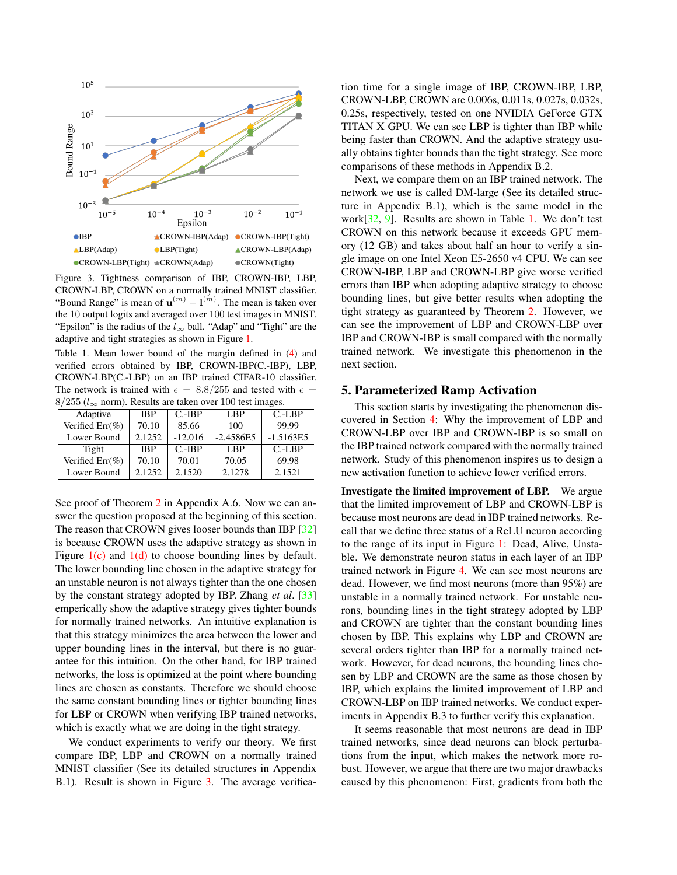<span id="page-5-2"></span>

<span id="page-5-0"></span>Figure 3. Tightness comparison of IBP, CROWN-IBP, LBP, CROWN-LBP, CROWN on a normally trained MNIST classifier. "Bound Range" is mean of  $\mathbf{u}^{(m)} - \mathbf{l}^{(m)}$ . The mean is taken over the 10 output logits and averaged over 100 test images in MNIST. "Epsilon" is the radius of the  $l_{\infty}$  ball. "Adap" and "Tight" are the adaptive and tight strategies as shown in Figure [1.](#page-0-0)

<span id="page-5-1"></span>Table 1. Mean lower bound of the margin defined in [\(4\)](#page-2-0) and verified errors obtained by IBP, CROWN-IBP(C.-IBP), LBP, CROWN-LBP(C.-LBP) on an IBP trained CIFAR-10 classifier. The network is trained with  $\epsilon = 8.8/255$  and tested with  $\epsilon =$  $8/255$  ( $l_{\infty}$  norm). Results are taken over 100 test images.

| Adaptive           | <b>IBP</b> | $C.-IBP$  | LBP         | $C.-LBP$    |  |  |
|--------------------|------------|-----------|-------------|-------------|--|--|
| Verified Err(%)    | 70.10      | 85.66     | 100         | 99.99       |  |  |
| Lower Bound        | 2.1252     | $-12.016$ | $-2.4586E5$ | $-1.5163E5$ |  |  |
| Tight              | <b>IBP</b> | $C.-IBP$  | LBP         | $C.-LBP$    |  |  |
| Verified $Err(\%)$ | 70.10      | 70.01     | 70.05       | 69.98       |  |  |
| Lower Bound        | 2.1252     | 2.1520    | 2.1278      | 2.1521      |  |  |

See proof of Theorem [2](#page-4-1) in Appendix A.6. Now we can answer the question proposed at the beginning of this section. The reason that CROWN gives looser bounds than IBP [\[32\]](#page-9-3) is because CROWN uses the adaptive strategy as shown in Figure  $1(c)$  and  $1(d)$  to choose bounding lines by default. The lower bounding line chosen in the adaptive strategy for an unstable neuron is not always tighter than the one chosen by the constant strategy adopted by IBP. Zhang *et al*. [\[33\]](#page-9-2) emperically show the adaptive strategy gives tighter bounds for normally trained networks. An intuitive explanation is that this strategy minimizes the area between the lower and upper bounding lines in the interval, but there is no guarantee for this intuition. On the other hand, for IBP trained networks, the loss is optimized at the point where bounding lines are chosen as constants. Therefore we should choose the same constant bounding lines or tighter bounding lines for LBP or CROWN when verifying IBP trained networks, which is exactly what we are doing in the tight strategy.

We conduct experiments to verify our theory. We first compare IBP, LBP and CROWN on a normally trained MNIST classifier (See its detailed structures in Appendix B.1). Result is shown in Figure [3.](#page-5-0) The average verification time for a single image of IBP, CROWN-IBP, LBP, CROWN-LBP, CROWN are 0.006s, 0.011s, 0.027s, 0.032s, 0.25s, respectively, tested on one NVIDIA GeForce GTX TITAN X GPU. We can see LBP is tighter than IBP while being faster than CROWN. And the adaptive strategy usually obtains tighter bounds than the tight strategy. See more comparisons of these methods in Appendix B.2.

Next, we compare them on an IBP trained network. The network we use is called DM-large (See its detailed structure in Appendix B.1), which is the same model in the work[\[32,](#page-9-3) [9\]](#page-8-23). Results are shown in Table [1.](#page-5-1) We don't test CROWN on this network because it exceeds GPU memory (12 GB) and takes about half an hour to verify a single image on one Intel Xeon E5-2650 v4 CPU. We can see CROWN-IBP, LBP and CROWN-LBP give worse verified errors than IBP when adopting adaptive strategy to choose bounding lines, but give better results when adopting the tight strategy as guaranteed by Theorem [2.](#page-4-1) However, we can see the improvement of LBP and CROWN-LBP over IBP and CROWN-IBP is small compared with the normally trained network. We investigate this phenomenon in the next section.

#### 5. Parameterized Ramp Activation

This section starts by investigating the phenomenon discovered in Section [4:](#page-4-2) Why the improvement of LBP and CROWN-LBP over IBP and CROWN-IBP is so small on the IBP trained network compared with the normally trained network. Study of this phenomenon inspires us to design a new activation function to achieve lower verified errors.

Investigate the limited improvement of LBP. We argue that the limited improvement of LBP and CROWN-LBP is because most neurons are dead in IBP trained networks. Recall that we define three status of a ReLU neuron according to the range of its input in Figure [1:](#page-0-0) Dead, Alive, Unstable. We demonstrate neuron status in each layer of an IBP trained network in Figure [4.](#page-6-0) We can see most neurons are dead. However, we find most neurons (more than 95%) are unstable in a normally trained network. For unstable neurons, bounding lines in the tight strategy adopted by LBP and CROWN are tighter than the constant bounding lines chosen by IBP. This explains why LBP and CROWN are several orders tighter than IBP for a normally trained network. However, for dead neurons, the bounding lines chosen by LBP and CROWN are the same as those chosen by IBP, which explains the limited improvement of LBP and CROWN-LBP on IBP trained networks. We conduct experiments in Appendix B.3 to further verify this explanation.

It seems reasonable that most neurons are dead in IBP trained networks, since dead neurons can block perturbations from the input, which makes the network more robust. However, we argue that there are two major drawbacks caused by this phenomenon: First, gradients from both the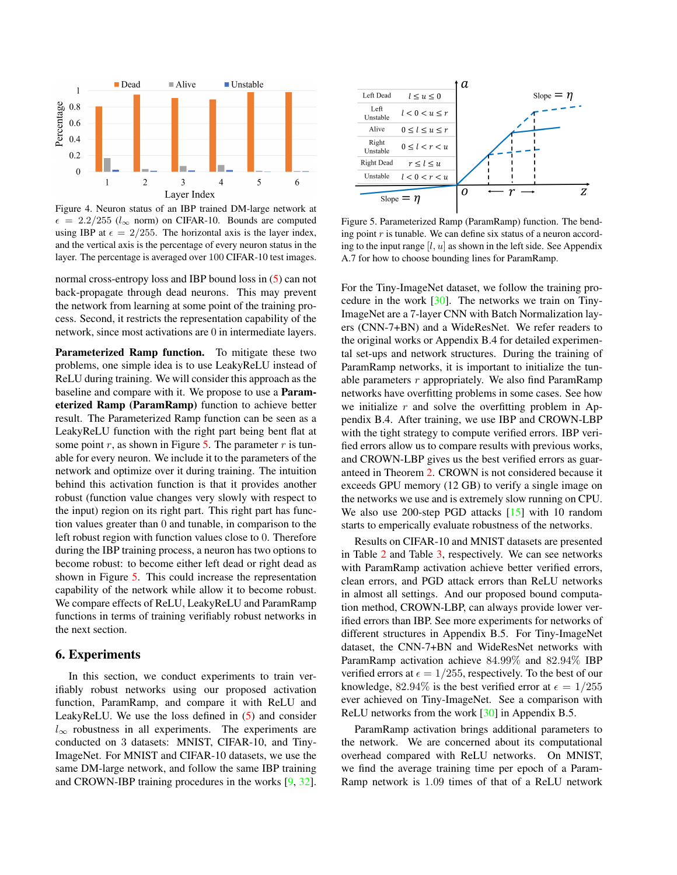<span id="page-6-2"></span>

<span id="page-6-0"></span>Figure 4. Neuron status of an IBP trained DM-large network at  $\epsilon = 2.2/255$  (l<sub>∞</sub> norm) on CIFAR-10. Bounds are computed using IBP at  $\epsilon = 2/255$ . The horizontal axis is the layer index, and the vertical axis is the percentage of every neuron status in the layer. The percentage is averaged over 100 CIFAR-10 test images.

normal cross-entropy loss and IBP bound loss in [\(5\)](#page-2-2) can not back-propagate through dead neurons. This may prevent the network from learning at some point of the training process. Second, it restricts the representation capability of the network, since most activations are 0 in intermediate layers.

Parameterized Ramp function. To mitigate these two problems, one simple idea is to use LeakyReLU instead of ReLU during training. We will consider this approach as the baseline and compare with it. We propose to use a Parameterized Ramp (ParamRamp) function to achieve better result. The Parameterized Ramp function can be seen as a LeakyReLU function with the right part being bent flat at some point r, as shown in Figure [5.](#page-6-1) The parameter r is tunable for every neuron. We include it to the parameters of the network and optimize over it during training. The intuition behind this activation function is that it provides another robust (function value changes very slowly with respect to the input) region on its right part. This right part has function values greater than 0 and tunable, in comparison to the left robust region with function values close to 0. Therefore during the IBP training process, a neuron has two options to become robust: to become either left dead or right dead as shown in Figure [5.](#page-6-1) This could increase the representation capability of the network while allow it to become robust. We compare effects of ReLU, LeakyReLU and ParamRamp functions in terms of training verifiably robust networks in the next section.

## 6. Experiments

In this section, we conduct experiments to train verifiably robust networks using our proposed activation function, ParamRamp, and compare it with ReLU and LeakyReLU. We use the loss defined in [\(5\)](#page-2-2) and consider  $l_{\infty}$  robustness in all experiments. The experiments are conducted on 3 datasets: MNIST, CIFAR-10, and Tiny-ImageNet. For MNIST and CIFAR-10 datasets, we use the same DM-large network, and follow the same IBP training and CROWN-IBP training procedures in the works [\[9,](#page-8-23) [32\]](#page-9-3).



<span id="page-6-1"></span>Figure 5. Parameterized Ramp (ParamRamp) function. The bending point  $r$  is tunable. We can define six status of a neuron according to the input range  $[l, u]$  as shown in the left side. See Appendix A.7 for how to choose bounding lines for ParamRamp.

For the Tiny-ImageNet dataset, we follow the training procedure in the work [\[30\]](#page-9-4). The networks we train on Tiny-ImageNet are a 7-layer CNN with Batch Normalization layers (CNN-7+BN) and a WideResNet. We refer readers to the original works or Appendix B.4 for detailed experimental set-ups and network structures. During the training of ParamRamp networks, it is important to initialize the tunable parameters  $r$  appropriately. We also find ParamRamp networks have overfitting problems in some cases. See how we initialize  $r$  and solve the overfitting problem in Appendix B.4. After training, we use IBP and CROWN-LBP with the tight strategy to compute verified errors. IBP verified errors allow us to compare results with previous works, and CROWN-LBP gives us the best verified errors as guaranteed in Theorem [2.](#page-4-1) CROWN is not considered because it exceeds GPU memory (12 GB) to verify a single image on the networks we use and is extremely slow running on CPU. We also use 200-step PGD attacks [\[15\]](#page-8-5) with 10 random starts to emperically evaluate robustness of the networks.

Results on CIFAR-10 and MNIST datasets are presented in Table [2](#page-7-0) and Table [3,](#page-7-1) respectively. We can see networks with ParamRamp activation achieve better verified errors, clean errors, and PGD attack errors than ReLU networks in almost all settings. And our proposed bound computation method, CROWN-LBP, can always provide lower verified errors than IBP. See more experiments for networks of different structures in Appendix B.5. For Tiny-ImageNet dataset, the CNN-7+BN and WideResNet networks with ParamRamp activation achieve 84.99% and 82.94% IBP verified errors at  $\epsilon = 1/255$ , respectively. To the best of our knowledge, 82.94% is the best verified error at  $\epsilon = 1/255$ ever achieved on Tiny-ImageNet. See a comparison with ReLU networks from the work [\[30\]](#page-9-4) in Appendix B.5.

ParamRamp activation brings additional parameters to the network. We are concerned about its computational overhead compared with ReLU networks. On MNIST, we find the average training time per epoch of a Param-Ramp network is 1.09 times of that of a ReLU network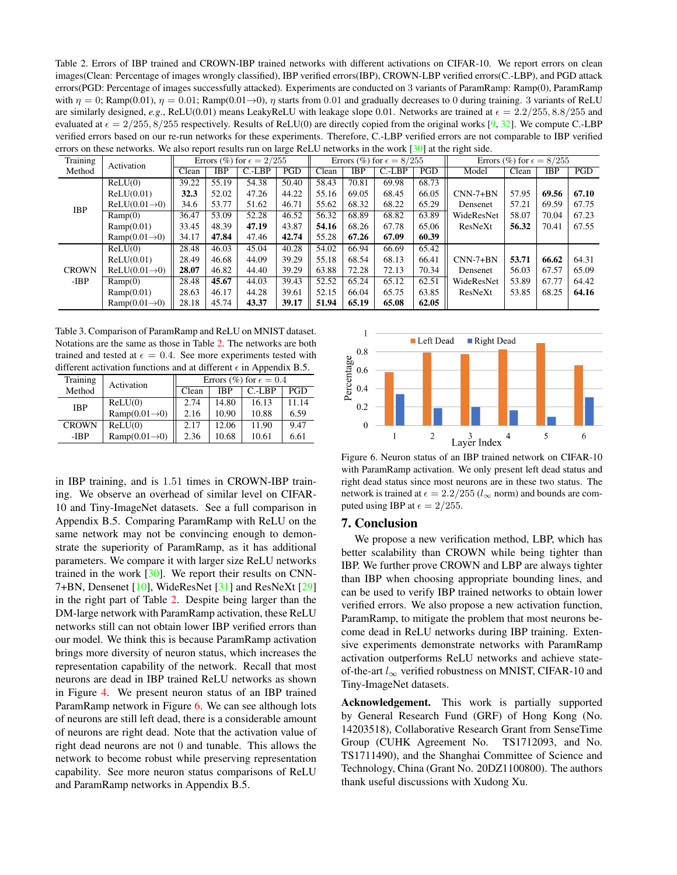<span id="page-7-3"></span><span id="page-7-0"></span>Table 2. Errors of IBP trained and CROWN-IBP trained networks with different activations on CIFAR-10. We report errors on clean images(Clean: Percentage of images wrongly classified), IBP verified errors(IBP), CROWN-LBP verified errors(C.-LBP), and PGD attack errors(PGD: Percentage of images successfully attacked). Experiments are conducted on 3 variants of ParamRamp: Ramp(0), ParamRamp with  $\eta = 0$ ; Ramp(0.01),  $\eta = 0.01$ ; Ramp(0.01→0),  $\eta$  starts from 0.01 and gradually decreases to 0 during training. 3 variants of ReLU are similarly designed, *e.g.*, ReLU(0.01) means LeakyReLU with leakage slope 0.01. Networks are trained at  $\epsilon = 2.2/255$ ,  $8.8/255$  and evaluated at  $\epsilon = 2/255$ ,  $8/255$  respectively. Results of ReLU(0) are directly copied from the original works [\[9,](#page-8-23) [32\]](#page-9-3). We compute C.-LBP verified errors based on our re-run networks for these experiments. Therefore, C.-LBP verified errors are not comparable to IBP verified errors on these networks. We also report results run on large ReLU networks in the work [\[30\]](#page-9-4) at the right side.

| Training               |                           |            | Errors (%) for $\epsilon = 2/255$ |       |       | Errors (%) for $\epsilon = 8/255$ |          |            | Errors (%) for $\epsilon = 8/255$ |            |       |       |       |
|------------------------|---------------------------|------------|-----------------------------------|-------|-------|-----------------------------------|----------|------------|-----------------------------------|------------|-------|-------|-------|
| Activation<br>Method   | Clean                     | <b>IBP</b> | $C.-LBP$                          | PGD   | Clean | <b>IBP</b>                        | $C.-LBP$ | <b>PGD</b> | Model                             | Clean      | IBP   | PGD   |       |
| <b>IBP</b>             | ReLU(0)                   | 39.22      | 55.19                             | 54.38 | 50.40 | 58.43                             | 70.81    | 69.98      | 68.73                             |            |       |       |       |
|                        | ReLU(0.01)                | 32.3       | 52.02                             | 47.26 | 44.22 | 55.16                             | 69.05    | 68.45      | 66.05                             | $CNN-7+BN$ | 57.95 | 69.56 | 67.10 |
|                        | $ReLU(0.01\rightarrow 0)$ | 34.6       | 53.77                             | 51.62 | 46.71 | 55.62                             | 68.32    | 68.22      | 65.29                             | Densenet   | 57.21 | 69.59 | 67.75 |
|                        | Ramp(0)                   | 36.47      | 53.09                             | 52.28 | 46.52 | 56.32                             | 68.89    | 68.82      | 63.89                             | WideResNet | 58.07 | 70.04 | 67.23 |
|                        | Ramp(0.01)                | 33.45      | 48.39                             | 47.19 | 43.87 | 54.16                             | 68.26    | 67.78      | 65.06                             | ResNeXt    | 56.32 | 70.41 | 67.55 |
|                        | $Ramp(0.01\rightarrow 0)$ | 34.17      | 47.84                             | 47.46 | 42.74 | 55.28                             | 67.26    | 67.09      | 60.39                             |            |       |       |       |
| <b>CROWN</b><br>$-IBP$ | ReLU(0)                   | 28.48      | 46.03                             | 45.04 | 40.28 | 54.02                             | 66.94    | 66.69      | 65.42                             |            |       |       |       |
|                        | ReLU(0.01)                | 28.49      | 46.68                             | 44.09 | 39.29 | 55.18                             | 68.54    | 68.13      | 66.41                             | $CNN-7+BN$ | 53.71 | 66.62 | 64.31 |
|                        | $ReLU(0.01\rightarrow 0)$ | 28.07      | 46.82                             | 44.40 | 39.29 | 63.88                             | 72.28    | 72.13      | 70.34                             | Densenet   | 56.03 | 67.57 | 65.09 |
|                        | Ramp(0)                   | 28.48      | 45.67                             | 44.03 | 39.43 | 52.52                             | 65.24    | 65.12      | 62.51                             | WideResNet | 53.89 | 67.77 | 64.42 |
|                        | Ramp(0.01)                | 28.63      | 46.17                             | 44.28 | 39.61 | 52.15                             | 66.04    | 65.75      | 63.85                             | ResNeXt    | 53.85 | 68.25 | 64.16 |
|                        | $Ramp(0.01\rightarrow 0)$ | 28.18      | 45.74                             | 43.37 | 39.17 | 51.94                             | 65.19    | 65.08      | 62.05                             |            |       |       |       |

<span id="page-7-1"></span>Table 3. Comparison of ParamRamp and ReLU on MNIST dataset. Notations are the same as those in Table [2.](#page-7-0) The networks are both trained and tested at  $\epsilon = 0.4$ . See more experiments tested with different activation functions and at different  $\epsilon$  in Appendix B.5.

| Training     | Activation                | Errors (%) for $\epsilon = 0.4$ |            |          |            |  |  |
|--------------|---------------------------|---------------------------------|------------|----------|------------|--|--|
| Method       |                           | Clean                           | <b>IBP</b> | $C.-LBP$ | <b>PGD</b> |  |  |
| <b>IBP</b>   | ReLU(0)                   | 2.74                            | 14.80      | 16.13    | 11.14      |  |  |
|              | $Ramp(0.01\rightarrow0)$  | 2.16                            | 10.90      | 10.88    | 6.59       |  |  |
| <b>CROWN</b> | ReLU(0)                   | 2.17                            | 12.06      | 11.90    | 9.47       |  |  |
| -IBP         | $Ramp(0.01\rightarrow 0)$ | 2.36                            | 10.68      | 10.61    | 6.61       |  |  |

in IBP training, and is 1.51 times in CROWN-IBP training. We observe an overhead of similar level on CIFAR-10 and Tiny-ImageNet datasets. See a full comparison in Appendix B.5. Comparing ParamRamp with ReLU on the same network may not be convincing enough to demonstrate the superiority of ParamRamp, as it has additional parameters. We compare it with larger size ReLU networks trained in the work  $[30]$ . We report their results on CNN-7+BN, Densenet [\[10\]](#page-8-26), WideResNet [\[31\]](#page-9-5) and ResNeXt [\[29\]](#page-9-6) in the right part of Table [2.](#page-7-0) Despite being larger than the DM-large network with ParamRamp activation, these ReLU networks still can not obtain lower IBP verified errors than our model. We think this is because ParamRamp activation brings more diversity of neuron status, which increases the representation capability of the network. Recall that most neurons are dead in IBP trained ReLU networks as shown in Figure [4.](#page-6-0) We present neuron status of an IBP trained ParamRamp network in Figure [6.](#page-7-2) We can see although lots of neurons are still left dead, there is a considerable amount of neurons are right dead. Note that the activation value of right dead neurons are not 0 and tunable. This allows the network to become robust while preserving representation capability. See more neuron status comparisons of ReLU and ParamRamp networks in Appendix B.5.



<span id="page-7-2"></span>Figure 6. Neuron status of an IBP trained network on CIFAR-10 with ParamRamp activation. We only present left dead status and right dead status since most neurons are in these two status. The network is trained at  $\epsilon = 2.2/255$  ( $l_{\infty}$  norm) and bounds are computed using IBP at  $\epsilon = 2/255$ .

# 7. Conclusion

We propose a new verification method, LBP, which has better scalability than CROWN while being tighter than IBP. We further prove CROWN and LBP are always tighter than IBP when choosing appropriate bounding lines, and can be used to verify IBP trained networks to obtain lower verified errors. We also propose a new activation function, ParamRamp, to mitigate the problem that most neurons become dead in ReLU networks during IBP training. Extensive experiments demonstrate networks with ParamRamp activation outperforms ReLU networks and achieve stateof-the-art  $l_{\infty}$  verified robustness on MNIST, CIFAR-10 and Tiny-ImageNet datasets.

Acknowledgement. This work is partially supported by General Research Fund (GRF) of Hong Kong (No. 14203518), Collaborative Research Grant from SenseTime Group (CUHK Agreement No. TS1712093, and No. TS1711490), and the Shanghai Committee of Science and Technology, China (Grant No. 20DZ1100800). The authors thank useful discussions with Xudong Xu.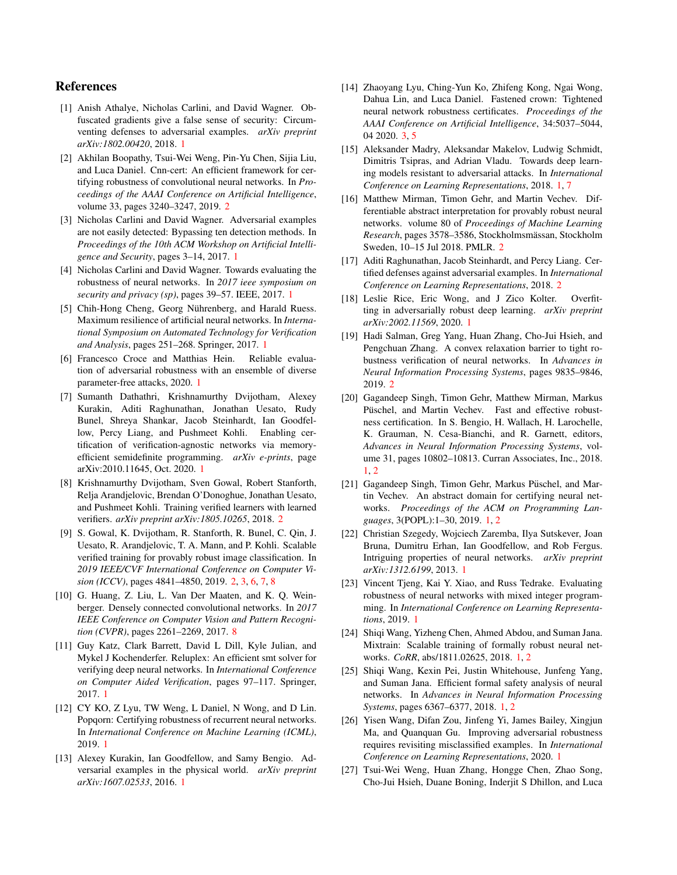# References

- <span id="page-8-2"></span>[1] Anish Athalye, Nicholas Carlini, and David Wagner. Obfuscated gradients give a false sense of security: Circumventing defenses to adversarial examples. *arXiv preprint arXiv:1802.00420*, 2018. [1](#page-0-5)
- <span id="page-8-24"></span>[2] Akhilan Boopathy, Tsui-Wei Weng, Pin-Yu Chen, Sijia Liu, and Luca Daniel. Cnn-cert: An efficient framework for certifying robustness of convolutional neural networks. In *Proceedings of the AAAI Conference on Artificial Intelligence*, volume 33, pages 3240–3247, 2019. [2](#page-1-0)
- <span id="page-8-4"></span>[3] Nicholas Carlini and David Wagner. Adversarial examples are not easily detected: Bypassing ten detection methods. In *Proceedings of the 10th ACM Workshop on Artificial Intelligence and Security*, pages 3–14, 2017. [1](#page-0-5)
- <span id="page-8-1"></span>[4] Nicholas Carlini and David Wagner. Towards evaluating the robustness of neural networks. In *2017 ieee symposium on security and privacy (sp)*, pages 39–57. IEEE, 2017. [1](#page-0-5)
- <span id="page-8-12"></span>[5] Chih-Hong Cheng, Georg Nührenberg, and Harald Ruess. Maximum resilience of artificial neural networks. In *International Symposium on Automated Technology for Verification and Analysis*, pages 251–268. Springer, 2017. [1](#page-0-5)
- <span id="page-8-9"></span>[6] Francesco Croce and Matthias Hein. Reliable evaluation of adversarial robustness with an ensemble of diverse parameter-free attacks, 2020. [1](#page-0-5)
- <span id="page-8-13"></span>[7] Sumanth Dathathri, Krishnamurthy Dvijotham, Alexey Kurakin, Aditi Raghunathan, Jonathan Uesato, Rudy Bunel, Shreya Shankar, Jacob Steinhardt, Ian Goodfellow, Percy Liang, and Pushmeet Kohli. Enabling certification of verification-agnostic networks via memoryefficient semidefinite programming. *arXiv e-prints*, page arXiv:2010.11645, Oct. 2020. [1](#page-0-5)
- <span id="page-8-21"></span>[8] Krishnamurthy Dvijotham, Sven Gowal, Robert Stanforth, Relja Arandjelovic, Brendan O'Donoghue, Jonathan Uesato, and Pushmeet Kohli. Training verified learners with learned verifiers. *arXiv preprint arXiv:1805.10265*, 2018. [2](#page-1-0)
- <span id="page-8-23"></span>[9] S. Gowal, K. Dvijotham, R. Stanforth, R. Bunel, C. Qin, J. Uesato, R. Arandjelovic, T. A. Mann, and P. Kohli. Scalable verified training for provably robust image classification. In *2019 IEEE/CVF International Conference on Computer Vision (ICCV)*, pages 4841–4850, 2019. [2,](#page-1-0) [3,](#page-2-5) [6,](#page-5-2) [7,](#page-6-2) [8](#page-7-3)
- <span id="page-8-26"></span>[10] G. Huang, Z. Liu, L. Van Der Maaten, and K. Q. Weinberger. Densely connected convolutional networks. In *2017 IEEE Conference on Computer Vision and Pattern Recognition (CVPR)*, pages 2261–2269, 2017. [8](#page-7-3)
- <span id="page-8-11"></span>[11] Guy Katz, Clark Barrett, David L Dill, Kyle Julian, and Mykel J Kochenderfer. Reluplex: An efficient smt solver for verifying deep neural networks. In *International Conference on Computer Aided Verification*, pages 97–117. Springer, 2017. [1](#page-0-5)
- <span id="page-8-18"></span>[12] CY KO, Z Lyu, TW Weng, L Daniel, N Wong, and D Lin. Popqorn: Certifying robustness of recurrent neural networks. In *International Conference on Machine Learning (ICML)*, 2019. [1](#page-0-5)
- <span id="page-8-3"></span>[13] Alexey Kurakin, Ian Goodfellow, and Samy Bengio. Adversarial examples in the physical world. *arXiv preprint arXiv:1607.02533*, 2016. [1](#page-0-5)
- <span id="page-8-25"></span>[14] Zhaoyang Lyu, Ching-Yun Ko, Zhifeng Kong, Ngai Wong, Dahua Lin, and Luca Daniel. Fastened crown: Tightened neural network robustness certificates. *Proceedings of the AAAI Conference on Artificial Intelligence*, 34:5037–5044, 04 2020. [3,](#page-2-5) [5](#page-4-3)
- <span id="page-8-5"></span>[15] Aleksander Madry, Aleksandar Makelov, Ludwig Schmidt, Dimitris Tsipras, and Adrian Vladu. Towards deep learning models resistant to adversarial attacks. In *International Conference on Learning Representations*, 2018. [1,](#page-0-5) [7](#page-6-2)
- <span id="page-8-20"></span>[16] Matthew Mirman, Timon Gehr, and Martin Vechev. Differentiable abstract interpretation for provably robust neural networks. volume 80 of *Proceedings of Machine Learning Research*, pages 3578–3586, Stockholmsmässan, Stockholm Sweden, 10–15 Jul 2018. PMLR. [2](#page-1-0)
- <span id="page-8-22"></span>[17] Aditi Raghunathan, Jacob Steinhardt, and Percy Liang. Certified defenses against adversarial examples. In *International Conference on Learning Representations*, 2018. [2](#page-1-0)
- <span id="page-8-7"></span>[18] Leslie Rice, Eric Wong, and J Zico Kolter. Overfitting in adversarially robust deep learning. *arXiv preprint arXiv:2002.11569*, 2020. [1](#page-0-5)
- <span id="page-8-19"></span>[19] Hadi Salman, Greg Yang, Huan Zhang, Cho-Jui Hsieh, and Pengchuan Zhang. A convex relaxation barrier to tight robustness verification of neural networks. In *Advances in Neural Information Processing Systems*, pages 9835–9846, 2019. [2](#page-1-0)
- <span id="page-8-14"></span>[20] Gagandeep Singh, Timon Gehr, Matthew Mirman, Markus Püschel, and Martin Vechev. Fast and effective robustness certification. In S. Bengio, H. Wallach, H. Larochelle, K. Grauman, N. Cesa-Bianchi, and R. Garnett, editors, *Advances in Neural Information Processing Systems*, volume 31, pages 10802–10813. Curran Associates, Inc., 2018. [1,](#page-0-5) [2](#page-1-0)
- <span id="page-8-15"></span>[21] Gagandeep Singh, Timon Gehr, Markus Püschel, and Martin Vechev. An abstract domain for certifying neural networks. *Proceedings of the ACM on Programming Languages*, 3(POPL):1–30, 2019. [1,](#page-0-5) [2](#page-1-0)
- <span id="page-8-0"></span>[22] Christian Szegedy, Wojciech Zaremba, Ilya Sutskever, Joan Bruna, Dumitru Erhan, Ian Goodfellow, and Rob Fergus. Intriguing properties of neural networks. *arXiv preprint arXiv:1312.6199*, 2013. [1](#page-0-5)
- <span id="page-8-10"></span>[23] Vincent Tjeng, Kai Y. Xiao, and Russ Tedrake. Evaluating robustness of neural networks with mixed integer programming. In *International Conference on Learning Representations*, 2019. [1](#page-0-5)
- <span id="page-8-8"></span>[24] Shiqi Wang, Yizheng Chen, Ahmed Abdou, and Suman Jana. Mixtrain: Scalable training of formally robust neural networks. *CoRR*, abs/1811.02625, 2018. [1,](#page-0-5) [2](#page-1-0)
- <span id="page-8-16"></span>[25] Shiqi Wang, Kexin Pei, Justin Whitehouse, Junfeng Yang, and Suman Jana. Efficient formal safety analysis of neural networks. In *Advances in Neural Information Processing Systems*, pages 6367–6377, 2018. [1,](#page-0-5) [2](#page-1-0)
- <span id="page-8-6"></span>[26] Yisen Wang, Difan Zou, Jinfeng Yi, James Bailey, Xingjun Ma, and Quanquan Gu. Improving adversarial robustness requires revisiting misclassified examples. In *International Conference on Learning Representations*, 2020. [1](#page-0-5)
- <span id="page-8-17"></span>[27] Tsui-Wei Weng, Huan Zhang, Hongge Chen, Zhao Song, Cho-Jui Hsieh, Duane Boning, Inderjit S Dhillon, and Luca